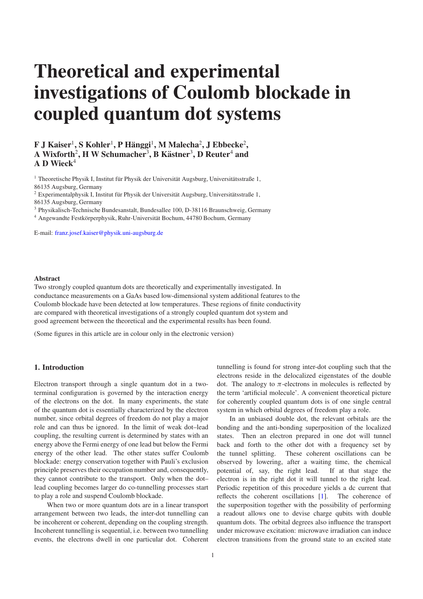# **Theoretical and experimental investigations of Coulomb blockade in coupled quantum dot systems**

# $\mathbf{F} \mathbf{J} \mathbf{K}$ aiser<sup>1</sup>,  $\mathbf{S} \mathbf{K}$ ohler<sup>1</sup>,  $\mathbf{P} \mathbf{H}$ änggi<sup>1</sup>,  $\mathbf{M} \mathbf{M}$ alecha $^2$ ,  $\mathbf{J} \mathbf{E}$ bbecke $^2$ ,  $\bf{A}$  Wixforth<sup>2</sup>, **H** W Schumacher<sup>3</sup>, **B** Kästner<sup>3</sup>, **D** Reuter<sup>4</sup> and **A D Wieck** 4

 $^{\rm 1}$  Theoretische Physik I, Institut für Physik der Universität Augsburg, Universitätsstraße 1, 86135 Augsburg, Germany

 $^2$  Experimentalphysik I, Institut für Physik der Universität Augsburg, Universitätsstraße 1, 86135 Augsburg, Germany

<sup>3</sup> Physikalisch-Technische Bundesanstalt, Bundesallee 100, D-38116 Braunschweig, Germany

<sup>4</sup> Angewandte Festkörperphysik, Ruhr-Universität Bochum, 44780 Bochum, Germany

E-mail: [franz.josef.kaiser@physik.uni-augsburg.de](mailto:franz.josef.kaiser@physik.uni-augsburg.de)

#### **Abstract**

Two strongly coupled quantum dots are theoretically and experimentally investigated. In conductance measurements on a GaAs based low-dimensional system additional features to the Coulomb blockade have been detected at low temperatures. These regions of finite conductivity are compared with theoretical investigations of a strongly coupled quantum dot system and good agreement between the theoretical and the experimental results has been found.

(Some figures in this article are in colour only in the electronic version)

# **1. Introduction**

Electron transport through a single quantum dot in a twoterminal configuration is governed by the interaction energy of the electrons on the dot. In many experiments, the state of the quantum dot is essentially characterized by the electron number, since orbital degrees of freedom do not play a major role and can thus be ignored. In the limit of weak dot–lead coupling, the resulting current is determined by states with an energy above the Fermi energy of one lead but below the Fermi energy of the other lead. The other states suffer Coulomb blockade: energy conservation together with Pauli's exclusion principle preserves their occupation number and, consequently, they cannot contribute to the transport. Only when the dot– lead coupling becomes larger do co-tunnelling processes start to play a role and suspend Coulomb blockade.

When two or more quantum dots are in a linear transport arrangement between two leads, the inter-dot tunnelling can be incoherent or coherent, depending on the coupling strength. Incoherent tunnelling is sequential, i.e. between two tunnelling events, the electrons dwell in one particular dot. Coherent

tunnelling is found for strong inter-dot coupling such that the electrons reside in the delocalized eigenstates of the double dot. The analogy to  $\pi$ -electrons in molecules is reflected by the term 'artificial molecule'. A convenient theoretical picture for coherently coupled quantum dots is of one single central system in which orbital degrees of freedom play a role.

In an unbiased double dot, the relevant orbitals are the bonding and the anti-bonding superposition of the localized states. Then an electron prepared in one dot will tunnel back and forth to the other dot with a frequency set by the tunnel splitting. These coherent oscillations can be observed by lowering, after a waiting time, the chemical potential of, say, the right lead. If at that stage the electron is in the right dot it will tunnel to the right lead. Periodic repetition of this procedure yields a dc current that reflects the coherent oscillations [\[1\]](#page-5-0). The coherence of the superposition together with the possibility of performing a readout allows one to devise charge qubits with double quantum dots. The orbital degrees also influence the transport under microwave excitation: microwave irradiation can induce electron transitions from the ground state to an excited state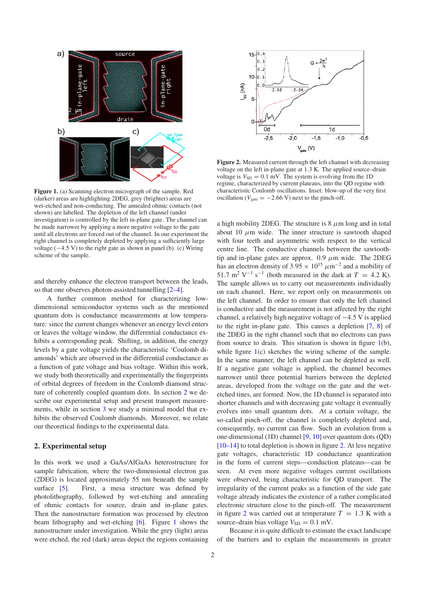<span id="page-1-1"></span>

**Figure 1.** (a) Scanning electron micrograph of the sample. Red (darker) areas are highlighting 2DEG, grey (brighter) areas are wet-etched and non-conducting. The annealed ohmic contacts (not shown) are labelled. The depletion of the left channel (under investigation) is controlled by the left in-plane gate. The channel can be made narrower by applying a more negative voltage to the gate until all electrons are forced out of the channel. In our experiment the right channel is completely depleted by applying a sufficiently large voltage (−4.5 V) to the right gate as shown in panel (b). (c) Wiring scheme of the sample.

and thereby enhance the electron transport between the leads, so that one observes photon-assisted tunnelling [\[2–4\]](#page-5-1).

A further common method for characterizing lowdimensional semiconductor systems such as the mentioned quantum dots is conductance measurements at low temperature: since the current changes whenever an energy level enters or leaves the voltage window, the differential conductance exhibits a corresponding peak. Shifting, in addition, the energy levels by a gate voltage yields the characteristic 'Coulomb diamonds' which are observed in the differential conductance as a function of gate voltage and bias voltage. Within this work, we study both theoretically and experimentally the fingerprints of orbital degrees of freedom in the Coulomb diamond structure of coherently coupled quantum dots. In section [2](#page-1-0) we describe our experimental setup and present transport measurements, while in section [3](#page-2-0) we study a minimal model that exhibits the observed Coulomb diamonds. Moreover, we relate our theoretical findings to the experimental data.

# <span id="page-1-0"></span>**2. Experimental setup**

In this work we used a GaAs/AlGaAs heterostructure for sample fabrication, where the two-dimensional electron gas (2DEG) is located approximately 55 nm beneath the sample surface [\[5\]](#page-5-2). First, a mesa structure was defined by photolithography, followed by wet-etching and annealing of ohmic contacts for source, drain and in-plane gates. Then the nanostructure formation was processed by electron beam lithography and wet-etching [\[6\]](#page-5-3). Figure [1](#page-1-1) shows the nanostructure under investigation. While the grey (light) areas were etched, the red (dark) areas depict the regions containing

<span id="page-1-2"></span>

**Figure 2.** Measured current through the left channel with decreasing voltage on the left in-plane gate at 1.3 K. The applied source–drain voltage is  $V_{SD} = 0.1$  mV. The system is evolving from the 1D regime, characterized by current plateaus, into the QD regime with characteristic Coulomb oscillations. Inset: blow-up of the very first oscillation ( $V_{\text{gate}} = -2.66 \text{ V}$ ) next to the pinch-off.

a high mobility 2DEG. The structure is  $8 \mu$ m long and in total about 10  $\mu$ m wide. The inner structure is sawtooth shaped with four teeth and asymmetric with respect to the vertical centre line. The conductive channels between the sawtoothtip and in-plane gates are approx.  $0.9 \mu m$  wide. The 2DEG has an electron density of  $3.95 \times 10^{15} \ \mu m^{-2}$  and a mobility of 51.7 m<sup>2</sup> V<sup>-1</sup> s<sup>-1</sup> (both measured in the dark at  $T = 4.2$  K). The sample allows us to carry out measurements individually on each channel. Here, we report only on measurements on the left channel. In order to ensure that only the left channel is conductive and the measurement is not affected by the right channel, a relatively high negative voltage of −4.5 V is applied to the right in-plane gate. This causes a depletion [\[7,](#page-5-4) [8\]](#page-5-5) of the 2DEG in the right channel such that no electrons can pass from source to drain. This situation is shown in figure [1\(](#page-1-1)b), while figure [1\(](#page-1-1)c) sketches the wiring scheme of the sample. In the same manner, the left channel can be depleted as well. If a negative gate voltage is applied, the channel becomes narrower until three potential barriers between the depleted areas, developed from the voltage on the gate and the wetetched tines, are formed. Now, the 1D channel is separated into shorter channels and with decreasing gate voltage it eventually evolves into small quantum dots. At a certain voltage, the so-called pinch-off, the channel is completely depleted and, consequently, no current can flow. Such an evolution from a one-dimensional (1D) channel [\[9,](#page-5-6) [10\]](#page-5-7) over quantum dots (QD) [\[10–14\]](#page-5-7) to total depletion is shown in figure [2.](#page-1-2) At less negative gate voltages, characteristic 1D conductance quantization in the form of current steps—conduction plateaus—can be seen. At even more negative voltages current oscillations were observed, being characteristic for QD transport. The irregularity of the current peaks as a function of the side gate voltage already indicates the existence of a rather complicated electronic structure close to the pinch-off. The measurement in figure [2](#page-1-2) was carried out at temperature  $T = 1.3$  K with a source–drain bias voltage  $V_{SD} = 0.1$  mV.

Because it is quite difficult to estimate the exact landscape of the barriers and to explain the measurements in greater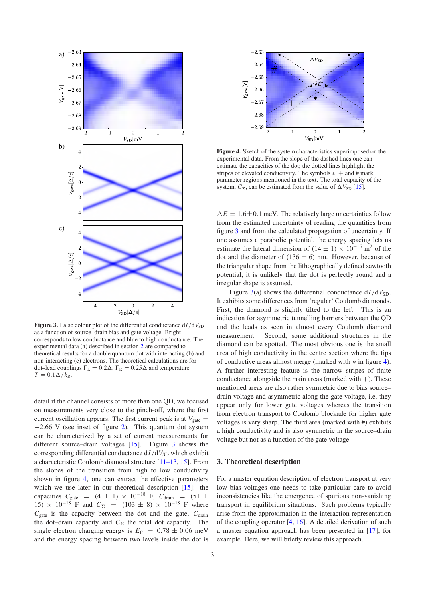<span id="page-2-1"></span>

**Figure 3.** False colour plot of the differential conductance  $dI/dV_{SD}$ as a function of source–drain bias and gate voltage. Bright corresponds to low conductance and blue to high conductance. The experimental data (a) described in section [2](#page-1-0) are compared to theoretical results for a double quantum dot with interacting (b) and non-interacting (c) electrons. The theoretical calculations are for dot–lead couplings  $\Gamma_{\rm L} = 0.2\Delta$ ,  $\Gamma_{\rm R} = 0.25\Delta$  and temperature  $T = 0.1\Delta/k_B$ .

detail if the channel consists of more than one QD, we focused on measurements very close to the pinch-off, where the first current oscillation appears. The first current peak is at  $V_{\text{gate}} =$ −2.66 V (see inset of figure [2\)](#page-1-2). This quantum dot system can be characterized by a set of current measurements for different source–drain voltages [\[15\]](#page-5-8). Figure [3](#page-2-1) shows the corresponding differential conductance  $dI/dV_{SD}$  which exhibit a characteristic Coulomb diamond structure [\[11–13,](#page-5-9) [15\]](#page-5-8). From the slopes of the transition from high to low conductivity shown in figure [4,](#page-2-2) one can extract the effective parameters which we use later in our theoretical description [\[15\]](#page-5-8): the capacities  $C_{\text{gate}} = (4 \pm 1) \times 10^{-18} \text{ F}, C_{\text{drain}} = (51 \pm 1)$ 15) × 10<sup>-18</sup> F and  $C_{\Sigma}$  = (103 ± 8) × 10<sup>-18</sup> F where  $C_{\text{gate}}$  is the capacity between the dot and the gate,  $C_{\text{drain}}$ the dot–drain capacity and  $C_{\Sigma}$  the total dot capacity. The single electron charging energy is  $E_C = 0.78 \pm 0.06$  meV and the energy spacing between two levels inside the dot is

<span id="page-2-2"></span>

**Figure 4.** Sketch of the system characteristics superimposed on the experimental data. From the slope of the dashed lines one can estimate the capacities of the dot; the dotted lines highlight the stripes of elevated conductivity. The symbols  $*,+$  and  $#$  mark parameter regions mentioned in the text. The total capacity of the system,  $C_{\Sigma}$ , can be estimated from the value of  $\Delta V_{SD}$  [\[15\]](#page-5-8).

 $\Delta E = 1.6 \pm 0.1$  meV. The relatively large uncertainties follow from the estimated uncertainty of reading the quantities from figure [3](#page-2-1) and from the calculated propagation of uncertainty. If one assumes a parabolic potential, the energy spacing lets us estimate the lateral dimension of  $(14 \pm 1) \times 10^{-15}$  m<sup>2</sup> of the dot and the diameter of  $(136 \pm 6)$  nm. However, because of the triangular shape from the lithographically defined sawtooth potential, it is unlikely that the dot is perfectly round and a irregular shape is assumed.

Figure [3\(](#page-2-1)a) shows the differential conductance  $dI/dV_{SD}$ . It exhibits some differences from 'regular' Coulomb diamonds. First, the diamond is slightly tilted to the left. This is an indication for asymmetric tunnelling barriers between the QD and the leads as seen in almost every Coulomb diamond measurement. Second, some additional structures in the diamond can be spotted. The most obvious one is the small area of high conductivity in the centre section where the tips of conductive areas almost merge (marked with ∗ in figure [4\)](#page-2-2). A further interesting feature is the narrow stripes of finite conductance alongside the main areas (marked with  $+$ ). These mentioned areas are also rather symmetric due to bias source– drain voltage and asymmetric along the gate voltage, i.e. they appear only for lower gate voltages whereas the transition from electron transport to Coulomb blockade for higher gate voltages is very sharp. The third area (marked with #) exhibits a high conductivity and is also symmetric in the source–drain voltage but not as a function of the gate voltage.

# <span id="page-2-0"></span>**3. Theoretical description**

For a master equation description of electron transport at very low bias voltages one needs to take particular care to avoid inconsistencies like the emergence of spurious non-vanishing transport in equilibrium situations. Such problems typically arise from the approximation in the interaction representation of the coupling operator [\[4,](#page-5-10) [16\]](#page-5-11). A detailed derivation of such a master equation approach has been presented in [\[17\]](#page-5-12), for example. Here, we will briefly review this approach.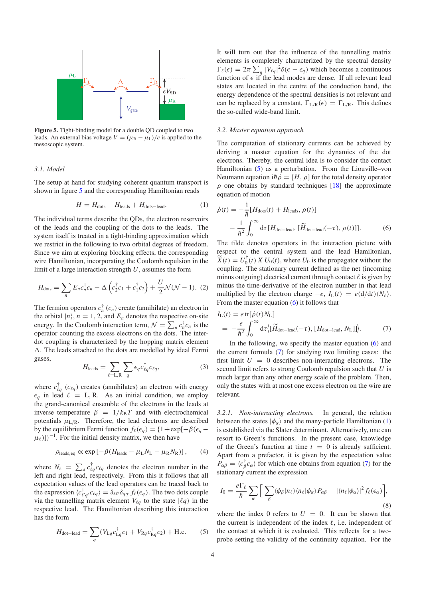<span id="page-3-0"></span>

**Figure 5.** Tight-binding model for a double QD coupled to two leads. An external bias voltage  $V = (\mu_R - \mu_L)/e$  is applied to the mesoscopic system.

#### <span id="page-3-4"></span>*3.1. Model*

The setup at hand for studying coherent quantum transport is shown in figure [5](#page-3-0) and the corresponding Hamiltonian reads

$$
H = H_{\text{dots}} + H_{\text{leads}} + H_{\text{dots-lead}}.\tag{1}
$$

The individual terms describe the QDs, the electron reservoirs of the leads and the coupling of the dots to the leads. The system itself is treated in a tight-binding approximation which we restrict in the following to two orbital degrees of freedom. Since we aim at exploring blocking effects, the corresponding wire Hamiltonian, incorporating the Coulomb repulsion in the limit of a large interaction strength *U*, assumes the form

$$
H_{\text{dots}} = \sum_{n} E_n c_n^{\dagger} c_n - \Delta \left( c_2^{\dagger} c_1 + c_1^{\dagger} c_2 \right) + \frac{U}{2} \mathcal{N} (\mathcal{N} - 1). \tag{2}
$$

The fermion operators  $c_n^{\dagger}$  ( $c_n$ ) create (annihilate) an electron in the orbital  $|n\rangle$ ,  $n = 1, 2$ , and  $E_n$  denotes the respective on-site energy. In the Coulomb interaction term,  $\mathcal{N} = \sum_{n} c_n^{\dagger} c_n$  is the operator counting the excess electrons on the dots. The interdot coupling is characterized by the hopping matrix element . The leads attached to the dots are modelled by ideal Fermi gases,

$$
H_{\text{leads}} = \sum_{\ell=L,R} \sum_{q} \epsilon_{q} c_{\ell q}^{\dagger} c_{\ell q}, \qquad (3)
$$

where  $c_{\ell q}^{\dagger}$  ( $c_{\ell q}$ ) creates (annihilates) an electron with energy  $\epsilon_q$  in lead  $\ell = L, R$ . As an initial condition, we employ the grand-canonical ensemble of the electrons in the leads at inverse temperature  $\beta = 1/k_B T$  and with electrochemical potentials  $\mu_{L/R}$ . Therefore, the lead electrons are described by the equilibrium Fermi function  $f_{\ell}(\epsilon_q) = \{1 + \exp[-\beta(\epsilon_q - \epsilon_q)]\}$  $\mu_{\ell}$ )]}<sup>-1</sup>. For the initial density matrix, we then have

$$
\rho_{\text{leads},\text{eq}} \propto \exp\left[-\beta (H_{\text{leads}} - \mu_{\text{L}} N_{\text{L}} - \mu_{\text{R}} N_{\text{R}})\right],\tag{4}
$$

<span id="page-3-1"></span>where  $N_{\ell} = \sum_{q} c_{\ell q}^{\dagger} c_{\ell q}$  denotes the electron number in the left and right lead, respectively. From this it follows that all expectation values of the lead operators can be traced back to the expression  $\langle c_{\ell'q'}^{\dagger} c_{\ell q} \rangle = \delta_{\ell \ell'} \delta_{qq'} f_{\ell}(\epsilon_q)$ . The two dots couple via the tunnelling matrix element  $V_{\ell q}$  to the state  $|\ell q\rangle$  in the respective lead. The Hamiltonian describing this interaction has the form

$$
H_{\text{dot}-\text{lead}} = \sum_{q} (V_{\text{L}q} c_{\text{L}q}^{\dagger} c_1 + V_{\text{R}q} c_{\text{R}q}^{\dagger} c_2) + \text{H.c.}
$$
 (5)

It will turn out that the influence of the tunnelling matrix elements is completely characterized by the spectral density  $\Gamma_{\ell}(\epsilon) = 2\pi \sum_{q} |V_{\ell q}|^2 \delta(\epsilon - \epsilon_q)$  which becomes a continuous function of  $\epsilon$  if the lead modes are dense. If all relevant lead states are located in the centre of the conduction band, the energy dependence of the spectral densities is not relevant and can be replaced by a constant,  $\Gamma_{L/R}(\epsilon) = \Gamma_{L/R}$ . This defines the so-called wide-band limit.

#### *3.2. Master equation approach*

<span id="page-3-2"></span>The computation of stationary currents can be achieved by deriving a master equation for the dynamics of the dot electrons. Thereby, the central idea is to consider the contact Hamiltonian [\(5\)](#page-3-1) as a perturbation. From the Liouville–von Neumann equation i $\hbar \dot{\rho} = [H, \rho]$  for the total density operator  $\rho$  one obtains by standard techniques [\[18\]](#page-5-13) the approximate equation of motion

$$
\dot{\rho}(t) = -\frac{i}{\hbar} [H_{\text{dots}}(t) + H_{\text{leads}}, \rho(t)]
$$

$$
-\frac{1}{\hbar^2} \int_0^\infty d\tau [H_{\text{dot}-\text{lead}}, [\widetilde{H}_{\text{dot}-\text{lead}}(-\tau), \rho(t)]]. \tag{6}
$$

<span id="page-3-3"></span>The tilde denotes operators in the interaction picture with respect to the central system and the lead Hamiltonian,  $\widetilde{X}(t) = U_0^{\dagger}(t) X U_0(t)$ , where  $U_0$  is the propagator without the coupling. The stationary current defined as the net (incoming minus outgoing) electrical current through contact  $\ell$  is given by minus the time-derivative of the electron number in that lead multiplied by the electron charge  $-e$ ,  $I_L(t) = e(d/dt)/N_e$ . From the master equation [\(6\)](#page-3-2) it follows that

$$
I_{\rm L}(t) = e \, \text{tr}[\dot{\rho}(t) N_{\rm L}]
$$
\n
$$
= -\frac{e}{\hbar^2} \int_0^\infty d\tau \langle [\widetilde{H}_{\text{dot}-\text{lead}}(-\tau), [H_{\text{dot}-\text{lead}}, N_{\rm L}]] \rangle. \tag{7}
$$

In the following, we specify the master equation  $(6)$  and the current formula [\(7\)](#page-3-3) for studying two limiting cases: the first limit  $U = 0$  describes non-interacting electrons. The second limit refers to strong Coulomb repulsion such that *U* is much larger than any other energy scale of the problem. Then, only the states with at most one excess electron on the wire are relevant.

*3.2.1. Non-interacting electrons.* In general, the relation between the states  $|\phi_{\alpha}\rangle$  and the many-particle Hamiltonian [\(1\)](#page-3-4) is established via the Slater determinant. Alternatively, one can resort to Green's functions. In the present case, knowledge of the Green's function at time  $t = 0$  is already sufficient. Apart from a prefactor, it is given by the expectation value  $P_{\alpha\beta} = \langle c_{\beta}^{\dagger} c_{\alpha} \rangle$  for which one obtains from equation [\(7\)](#page-3-3) for the stationary current the expression

$$
I_0 = \frac{e\Gamma_{\ell}}{\hbar} \sum_{\alpha} \Big[ \sum_{\beta} \langle \phi_{\beta} | n_{\ell} \rangle \langle n_{\ell} | \phi_{\alpha} \rangle P_{\alpha\beta} - |\langle n_{\ell} | \phi_{\alpha} \rangle|^2 f_{\ell}(\epsilon_{\alpha}) \Big], \tag{8}
$$

where the index 0 refers to  $U = 0$ . It can be shown that the current is independent of the index  $\ell$ , i.e. independent of the contact at which it is evaluated. This reflects for a twoprobe setting the validity of the continuity equation. For the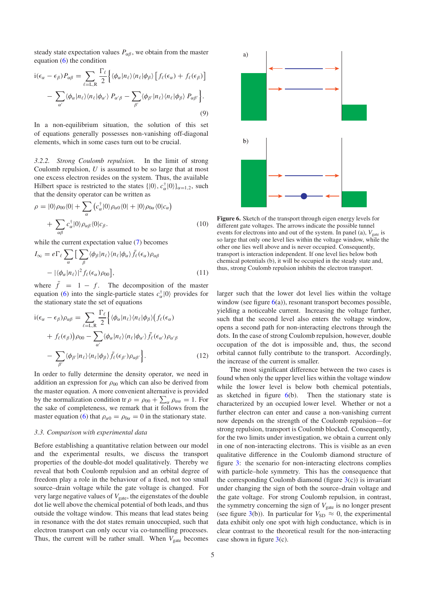steady state expectation values  $P_{\alpha\beta}$ , we obtain from the master equation  $(6)$  the condition

$$
i(\epsilon_{\alpha} - \epsilon_{\beta})P_{\alpha\beta} = \sum_{\ell=L,R} \frac{\Gamma_{\ell}}{2} \Big\{ \langle \phi_{\alpha} | n_{\ell} \rangle \langle n_{\ell} | \phi_{\beta} \rangle \Big[ f_{\ell}(\epsilon_{\alpha}) + f_{\ell}(\epsilon_{\beta}) \Big] - \sum_{\alpha'} \langle \phi_{\alpha} | n_{\ell} \rangle \langle n_{\ell} | \phi_{\alpha'} \rangle P_{\alpha'\beta} - \sum_{\beta'} \langle \phi_{\beta'} | n_{\ell} \rangle \langle n_{\ell} | \phi_{\beta} \rangle P_{\alpha\beta'} \Big\}.
$$
\n(9)

In a non-equilibrium situation, the solution of this set of equations generally possesses non-vanishing off-diagonal elements, which in some cases turn out to be crucial.

*3.2.2. Strong Coulomb repulsion.* In the limit of strong Coulomb repulsion, *U* is assumed to be so large that at most one excess electron resides on the system. Thus, the available Hilbert space is restricted to the states  $\{|0\rangle, c_{\alpha}^{\dagger}|0\rangle\}_{\alpha=1,2}$ , such that the density operator can be written as

$$
\rho = |0\rangle \rho_{00} \langle 0| + \sum_{\alpha} \left( c_{\alpha}^{\dagger} |0\rangle \rho_{\alpha 0} \langle 0| + |0\rangle \rho_{0\alpha} \langle 0|c_{\alpha} \right) + \sum_{\alpha \beta} c_{\alpha}^{\dagger} |0\rangle \rho_{\alpha \beta} \langle 0|c_{\beta}.
$$
\n(10)

while the current expectation value [\(7\)](#page-3-3) becomes

$$
I_{\infty} = e \Gamma_{\ell} \sum_{\alpha} \left[ \sum_{\beta} \langle \phi_{\beta} | n_{\ell} \rangle \langle n_{\ell} | \phi_{\alpha} \rangle \bar{f}_{\ell}(\epsilon_{\alpha}) \rho_{\alpha\beta} \right] - \left[ \langle \phi_{\alpha} | n_{\ell} \rangle \right]^{2} f_{\ell}(\epsilon_{\alpha}) \rho_{00} \right], \tag{11}
$$

where  $\bar{f} = 1 - f$ . The decomposition of the master equation [\(6\)](#page-3-2) into the single-particle states  $c_{\alpha}^{\dagger} |0\rangle$  provides for the stationary state the set of equations

$$
i(\epsilon_{\alpha} - \epsilon_{\beta})\rho_{\alpha\beta} = \sum_{\ell=L,R} \frac{\Gamma_{\ell}}{2} \Big\{ \langle \phi_{\alpha} | n_{\ell} \rangle \langle n_{\ell} | \phi_{\beta} \rangle \Big( f_{\ell}(\epsilon_{\alpha}) + f_{\ell}(\epsilon_{\beta}) \Big) \rho_{00} - \sum_{\alpha'} \langle \phi_{\alpha} | n_{\ell} \rangle \langle n_{\ell} | \phi_{\alpha'} \rangle \bar{f}_{\ell}(\epsilon_{\alpha'}) \rho_{\alpha'\beta} - \sum_{\beta'} \langle \phi_{\beta'} | n_{\ell} \rangle \langle n_{\ell} | \phi_{\beta} \rangle \bar{f}_{\ell}(\epsilon_{\beta'}) \rho_{\alpha\beta'} \Big\}. \tag{12}
$$

In order to fully determine the density operator, we need in addition an expression for  $\rho_{00}$  which can also be derived from the master equation. A more convenient alternative is provided by the normalization condition tr  $\rho = \rho_{00} + \sum_{\alpha} \rho_{\alpha \alpha} = 1$ . For the sake of completeness, we remark that it follows from the master equation [\(6\)](#page-3-2) that  $\rho_{\alpha 0} = \rho_{0\alpha} = 0$  in the stationary state.

#### *3.3. Comparison with experimental data*

Before establishing a quantitative relation between our model and the experimental results, we discuss the transport properties of the double-dot model qualitatively. Thereby we reveal that both Coulomb repulsion and an orbital degree of freedom play a role in the behaviour of a fixed, not too small source–drain voltage while the gate voltage is changed. For very large negative values of  $V_{\text{gate}}$ , the eigenstates of the double dot lie well above the chemical potential of both leads, and thus outside the voltage window. This means that lead states being in resonance with the dot states remain unoccupied, such that electron transport can only occur via co-tunnelling processes. Thus, the current will be rather small. When  $V_{\text{gate}}$  becomes

<span id="page-4-0"></span>

**Figure 6.** Sketch of the transport through eigen energy levels for different gate voltages. The arrows indicate the possible tunnel events for electrons into and out of the system. In panel (a),  $V_{\text{gate}}$  is so large that only one level lies within the voltage window, while the other one lies well above and is never occupied. Consequently, transport is interaction independent. If one level lies below both chemical potentials (b), it will be occupied in the steady state and, thus, strong Coulomb repulsion inhibits the electron transport.

larger such that the lower dot level lies within the voltage window (see figure  $6(a)$  $6(a)$ ), resonant transport becomes possible, yielding a noticeable current. Increasing the voltage further, such that the second level also enters the voltage window, opens a second path for non-interacting electrons through the dots. In the case of strong Coulomb repulsion, however, double occupation of the dot is impossible and, thus, the second orbital cannot fully contribute to the transport. Accordingly, the increase of the current is smaller.

The most significant difference between the two cases is found when only the upper level lies within the voltage window while the lower level is below both chemical potentials, as sketched in figure  $6(b)$  $6(b)$ . Then the stationary state is characterized by an occupied lower level. Whether or not a further electron can enter and cause a non-vanishing current now depends on the strength of the Coulomb repulsion—for strong repulsion, transport is Coulomb blocked. Consequently, for the two limits under investigation, we obtain a current only in one of non-interacting electrons. This is visible as an even qualitative difference in the Coulomb diamond structure of figure [3:](#page-2-1) the scenario for non-interacting electrons complies with particle–hole symmetry. This has the consequence that the corresponding Coulomb diamond (figure  $3(c)$  $3(c)$ ) is invariant under changing the sign of both the source–drain voltage and the gate voltage. For strong Coulomb repulsion, in contrast, the symmetry concerning the sign of  $V_{gate}$  is no longer present (see figure [3\(](#page-2-1)b)). In particular for  $V_{SD} \approx 0$ , the experimental data exhibit only one spot with high conductance, which is in clear contrast to the theoretical result for the non-interacting case shown in figure  $3(c)$  $3(c)$ .